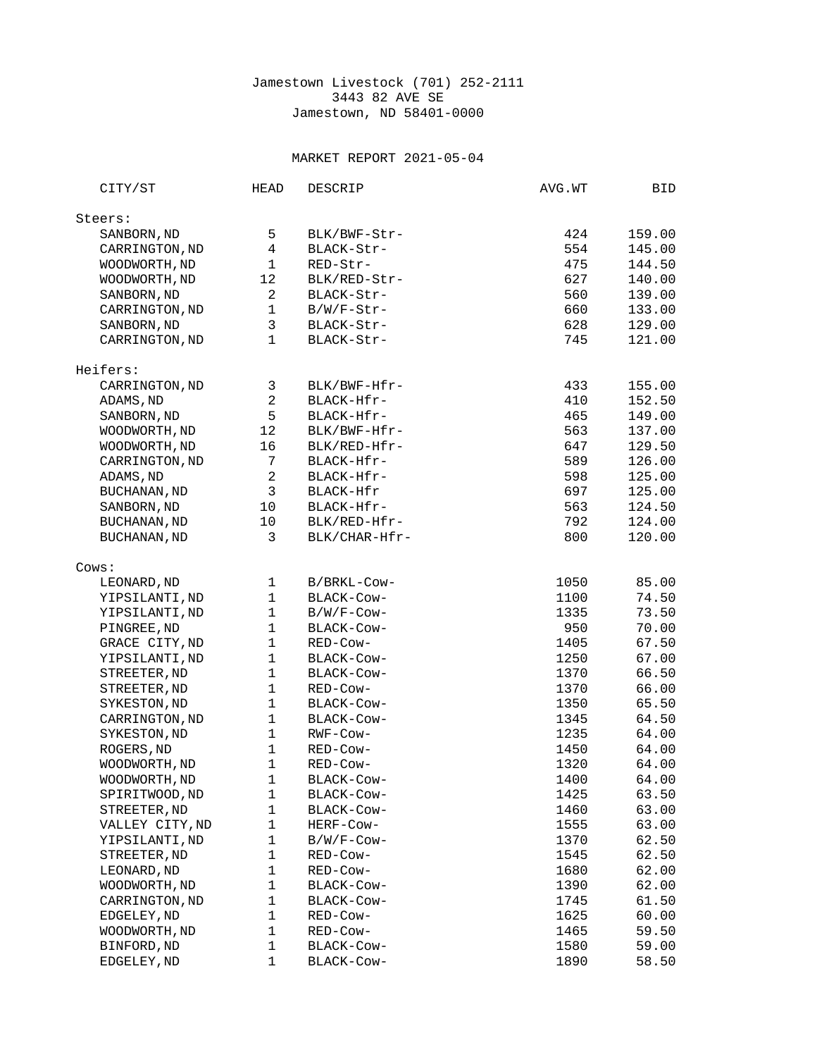## Jamestown Livestock (701) 252-2111 3443 82 AVE SE Jamestown, ND 58401-0000

## MARKET REPORT 2021-05-04

| CITY/ST                       | HEAD                                    | DESCRIP                  | AVG.WT     | BID              |
|-------------------------------|-----------------------------------------|--------------------------|------------|------------------|
| Steers:                       |                                         |                          |            |                  |
| SANBORN, ND                   | 5                                       | BLK/BWF-Str-             | 424        | 159.00           |
| CARRINGTON, ND                | $\overline{4}$                          | BLACK-Str-               | 554        | 145.00           |
| WOODWORTH, ND                 | $\mathbf{1}$                            | RED-Str-                 | 475        | 144.50           |
| WOODWORTH, ND                 | 12                                      | BLK/RED-Str-             | 627        | 140.00           |
|                               |                                         |                          |            |                  |
| SANBORN, ND                   | $\overline{\mathbf{c}}$<br>$\mathbf{1}$ | BLACK-Str-               | 560        | 139.00           |
| CARRINGTON, ND                |                                         | B/W/F-Str-               | 660        | 133.00           |
| SANBORN, ND<br>CARRINGTON, ND | 3<br>$\mathbf{1}$                       | BLACK-Str-<br>BLACK-Str- | 628<br>745 | 129.00<br>121.00 |
|                               |                                         |                          |            |                  |
| Heifers:                      |                                         |                          |            |                  |
| CARRINGTON, ND                | 3                                       | BLK/BWF-Hfr-             | 433        | 155.00           |
| ADAMS, ND                     | $\overline{c}$                          | BLACK-Hfr-               | 410        | 152.50           |
| SANBORN, ND                   | 5                                       | BLACK-Hfr-               | 465        | 149.00           |
| WOODWORTH, ND                 | 12                                      | BLK/BWF-Hfr-             | 563        | 137.00           |
| WOODWORTH, ND                 | 16                                      | BLK/RED-Hfr-             | 647        | 129.50           |
| CARRINGTON, ND                | 7                                       | BLACK-Hfr-               | 589        | 126.00           |
| ADAMS, ND                     | $\overline{c}$                          | BLACK-Hfr-               | 598        | 125.00           |
| BUCHANAN, ND                  | 3                                       | BLACK-Hfr                | 697        | 125.00           |
| SANBORN, ND                   | 10                                      | BLACK-Hfr-               | 563        | 124.50           |
| BUCHANAN, ND                  | 10                                      | BLK/RED-Hfr-             | 792        | 124.00           |
| <b>BUCHANAN, ND</b>           | 3                                       | BLK/CHAR-Hfr-            | 800        | 120.00           |
| Cows:                         |                                         |                          |            |                  |
| LEONARD, ND                   | 1                                       | B/BRKL-Cow-              | 1050       | 85.00            |
| YIPSILANTI, ND                | $\mathbf{1}$                            | BLACK-Cow-               | 1100       | 74.50            |
| YIPSILANTI, ND                | $\mathbf{1}$                            | $B/W/F$ -Cow-            | 1335       | 73.50            |
| PINGREE, ND                   | $\mathbf{1}$                            | BLACK-COW-               | 950        | 70.00            |
| GRACE CITY, ND                | $\mathbf{1}$                            | RED-Cow-                 | 1405       | 67.50            |
| YIPSILANTI, ND                | $\mathbf 1$                             | BLACK-COW-               | 1250       | 67.00            |
| STREETER, ND                  | $\mathbf{1}$                            | BLACK-Cow-               | 1370       | 66.50            |
| STREETER, ND                  | $\mathbf 1$                             | RED-Cow-                 | 1370       | 66.00            |
| SYKESTON, ND                  | $\mathbf 1$                             | BLACK-Cow-               | 1350       | 65.50            |
| CARRINGTON, ND                | $\mathbf{1}$                            | BLACK-Cow-               | 1345       | 64.50            |
| SYKESTON, ND                  | $\mathbf{1}$                            | RWF-Cow-                 | 1235       | 64.00            |
| ROGERS, ND                    | $\mathbf{1}$                            | RED-Cow-                 | 1450       | 64.00            |
| WOODWORTH, ND                 | $\mathbf 1$                             | RED-Cow-                 | 1320       | 64.00            |
| WOODWORTH, ND                 | $\mathbf{1}$                            | BLACK-COW-               | 1400       | 64.00            |
| SPIRITWOOD, ND                | 1                                       | BLACK-Cow-               | 1425       | 63.50            |
| STREETER, ND                  | $\mathbf 1$                             | BLACK-Cow-               | 1460       | 63.00            |
| VALLEY CITY, ND               | $\mathbf 1$                             | HERF-Cow-                | 1555       | 63.00            |
| YIPSILANTI, ND                | $\mathbf 1$                             | B/W/F-Cow-               | 1370       | 62.50            |
| STREETER, ND                  | $\mathbf{1}$                            | RED-Cow-                 | 1545       | 62.50            |
| LEONARD, ND                   | 1                                       | RED-Cow-                 | 1680       | 62.00            |
| WOODWORTH, ND                 | 1                                       | BLACK-Cow-               | 1390       | 62.00            |
| CARRINGTON, ND                | $\mathbf 1$                             | BLACK-COW-               | 1745       | 61.50            |
| EDGELEY, ND                   | $\mathbf 1$                             | RED-Cow-                 | 1625       | 60.00            |
| WOODWORTH, ND                 | $\mathbf{1}$                            | RED-Cow-                 | 1465       | 59.50            |
| BINFORD, ND                   | $\mathbf 1$                             | BLACK-Cow-               | 1580       | 59.00            |
| EDGELEY, ND                   | 1                                       | BLACK-Cow-               | 1890       | 58.50            |